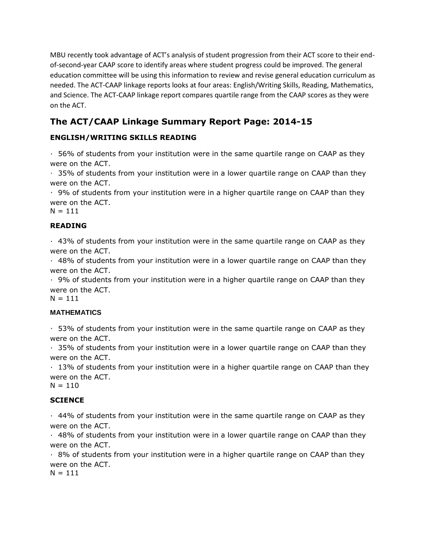MBU recently took advantage of ACT's analysis of student progression from their ACT score to their endof-second-year CAAP score to identify areas where student progress could be improved. The general education committee will be using this information to review and revise general education curriculum as needed. The ACT-CAAP linkage reports looks at four areas: English/Writing Skills, Reading, Mathematics, and Science. The ACT-CAAP linkage report compares quartile range from the CAAP scores as they were on the ACT.

# **The ACT/CAAP Linkage Summary Report Page: 2014-15**

# **ENGLISH/WRITING SKILLS READING**

 $\cdot$  56% of students from your institution were in the same quartile range on CAAP as they were on the ACT.

 $\cdot$  35% of students from your institution were in a lower quartile range on CAAP than they were on the ACT.

 $\cdot$  9% of students from your institution were in a higher quartile range on CAAP than they were on the ACT.

 $N = 111$ 

## **READING**

 $\cdot$  43% of students from your institution were in the same quartile range on CAAP as they were on the ACT.

 $\cdot$  48% of students from your institution were in a lower quartile range on CAAP than they were on the ACT.

 $\cdot$  9% of students from your institution were in a higher quartile range on CAAP than they were on the ACT.

 $N = 111$ 

### **MATHEMATICS**

 $\cdot$  53% of students from your institution were in the same quartile range on CAAP as they were on the ACT.

 $\cdot$  35% of students from your institution were in a lower quartile range on CAAP than they were on the ACT.

 $\cdot$  13% of students from your institution were in a higher quartile range on CAAP than they were on the ACT.

 $N = 110$ 

## **SCIENCE**

 $\cdot$  44% of students from your institution were in the same quartile range on CAAP as they were on the ACT.

 $\cdot$  48% of students from your institution were in a lower quartile range on CAAP than they were on the ACT.

 $\cdot$  8% of students from your institution were in a higher quartile range on CAAP than they were on the ACT.

 $N = 111$